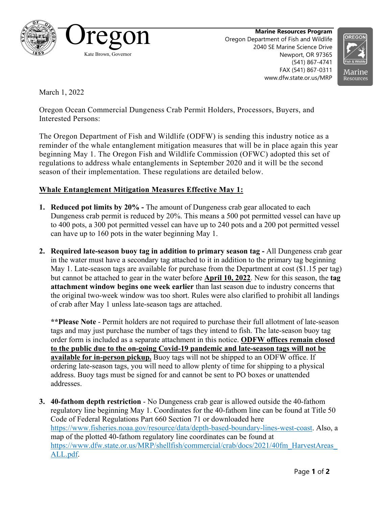

**Marine Resources Program** Oregon Department of Fish and Wildlife 2040 SE Marine Science Drive Newport, OR 97365 (541) 867-4741 FAX (541) 867-0311 www.dfw.state.or.us/MRP



March 1, 2022

Oregon Ocean Commercial Dungeness Crab Permit Holders, Processors, Buyers, and Interested Persons:

The Oregon Department of Fish and Wildlife (ODFW) is sending this industry notice as a reminder of the whale entanglement mitigation measures that will be in place again this year beginning May 1. The Oregon Fish and Wildlife Commission (OFWC) adopted this set of regulations to address whale entanglements in September 2020 and it will be the second season of their implementation. These regulations are detailed below.

## **Whale Entanglement Mitigation Measures Effective May 1:**

- **1. Reduced pot limits by 20% -** The amount of Dungeness crab gear allocated to each Dungeness crab permit is reduced by 20%. This means a 500 pot permitted vessel can have up to 400 pots, a 300 pot permitted vessel can have up to 240 pots and a 200 pot permitted vessel can have up to 160 pots in the water beginning May 1.
- **2. Required late-season buoy tag in addition to primary season tag -** All Dungeness crab gear in the water must have a secondary tag attached to it in addition to the primary tag beginning May 1. Late-season tags are available for purchase from the Department at cost (\$1.15 per tag) but cannot be attached to gear in the water before **April 10, 2022**. New for this season, the **tag attachment window begins one week earlier** than last season due to industry concerns that the original two-week window was too short. Rules were also clarified to prohibit all landings of crab after May 1 unless late-season tags are attached.

**\*\*Please Note** - Permit holders are not required to purchase their full allotment of late-season tags and may just purchase the number of tags they intend to fish. The late-season buoy tag order form is included as a separate attachment in this notice. **ODFW offices remain closed to the public due to the on-going Covid-19 pandemic and late-season tags will not be available for in-person pickup.** Buoy tags will not be shipped to an ODFW office. If ordering late-season tags, you will need to allow plenty of time for shipping to a physical address. Buoy tags must be signed for and cannot be sent to PO boxes or unattended addresses.

**3. 40-fathom depth restriction** - No Dungeness crab gear is allowed outside the 40-fathom regulatory line beginning May 1. Coordinates for the 40-fathom line can be found at Title 50 Code of Federal Regulations Part 660 Section 71 or downloaded here [https://www.fisheries.noaa.gov/resource/data/depth-based-boundary-lines-west-coast.](https://www.fisheries.noaa.gov/resource/data/depth-based-boundary-lines-west-coast) Also, a map of the plotted 40-fathom regulatory line coordinates can be found at [https://www.dfw.state.or.us/MRP/shellfish/commercial/crab/docs/2021/40fm\\_HarvestAreas\\_](https://www.dfw.state.or.us/MRP/shellfish/commercial/crab/docs/2021/40fm_HarvestAreas_ALL.pdf) [ALL.pdf.](https://www.dfw.state.or.us/MRP/shellfish/commercial/crab/docs/2021/40fm_HarvestAreas_ALL.pdf)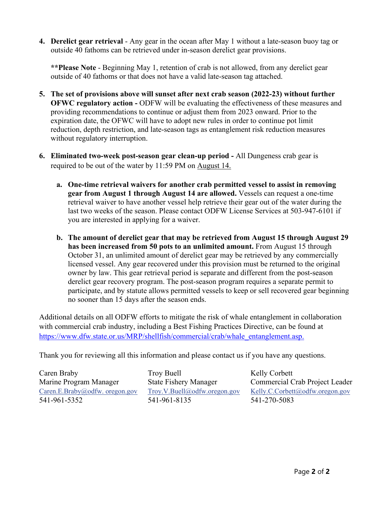**4. Derelict gear retrieval** - Any gear in the ocean after May 1 without a late-season buoy tag or outside 40 fathoms can be retrieved under in-season derelict gear provisions.

**\*\*Please Note** - Beginning May 1, retention of crab is not allowed, from any derelict gear outside of 40 fathoms or that does not have a valid late-season tag attached.

- **5. The set of provisions above will sunset after next crab season (2022-23) without further OFWC regulatory action -** ODFW will be evaluating the effectiveness of these measures and providing recommendations to continue or adjust them from 2023 onward. Prior to the expiration date, the OFWC will have to adopt new rules in order to continue pot limit reduction, depth restriction, and late-season tags as entanglement risk reduction measures without regulatory interruption.
- **6. Eliminated two-week post-season gear clean-up period -** All Dungeness crab gear is required to be out of the water by 11:59 PM on August 14.
	- **a. One-time retrieval waivers for another crab permitted vessel to assist in removing gear from August 1 through August 14 are allowed.** Vessels can request a one-time retrieval waiver to have another vessel help retrieve their gear out of the water during the last two weeks of the season. Please contact ODFW License Services at 503-947-6101 if you are interested in applying for a waiver.
	- **b. The amount of derelict gear that may be retrieved from August 15 through August 29 has been increased from 50 pots to an unlimited amount.** From August 15 through October 31, an unlimited amount of derelict gear may be retrieved by any commercially licensed vessel. Any gear recovered under this provision must be returned to the original owner by law. This gear retrieval period is separate and different from the post-season derelict gear recovery program. The post-season program requires a separate permit to participate, and by statute allows permitted vessels to keep or sell recovered gear beginning no sooner than 15 days after the season ends.

Additional details on all ODFW efforts to mitigate the risk of whale entanglement in collaboration with commercial crab industry, including a Best Fishing Practices Directive, can be found at [https://www.dfw.state.or.us/MRP/shellfish/commercial/crab/whale\\_entanglement.asp.](https://www.dfw.state.or.us/MRP/shellfish/commercial/crab/whale_entanglement.asp)

Thank you for reviewing all this information and please contact us if you have any questions.

Caren Braby Marine Program Manager [Caren.E.Braby@odfw. oregon.gov](mailto:Caren.E.Braby@odfw.%20oregon.gov) 541-961-5352

Troy Buell State Fishery Manager [Troy.V.Buell@odfw.oregon.gov](mailto:Troy.V.Buell@odfw.oregon.gov) 541-961-8135

Kelly Corbett Commercial Crab Project Leader [Kelly.C.Corbett@odfw.oregon.gov](mailto:Kelly.C.Corbett@odfw.oregon.gov) 541-270-5083